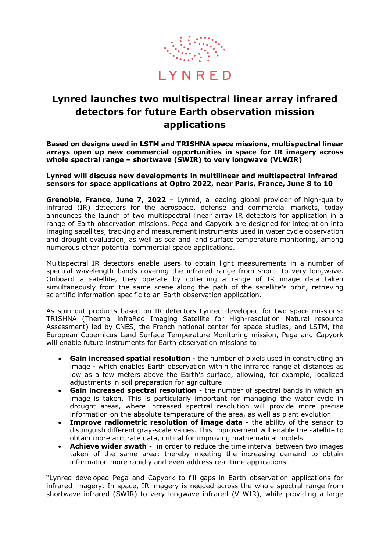

## **Lynred launches two multispectral linear array infrared detectors for future Earth observation mission applications**

**Based on designs used in LSTM and TRISHNA space missions, multispectral linear arrays open up new commercial opportunities in space for IR imagery across whole spectral range – shortwave (SWIR) to very longwave (VLWIR)**

**Lynred will discuss new developments in multilinear and multispectral infrared sensors for space applications at Optro 2022, near Paris, France, June 8 to 10**

**Grenoble, France, June 7, 2022** – Lynred, a leading global provider of high-quality infrared (IR) detectors for the aerospace, defense and commercial markets, today announces the launch of two multispectral linear array IR detectors for application in a range of Earth observation missions. Pega and Capyork are designed for integration into imaging satellites, tracking and measurement instruments used in water cycle observation and drought evaluation, as well as sea and land surface temperature monitoring, among numerous other potential commercial space applications.

Multispectral IR detectors enable users to obtain light measurements in a number of spectral wavelength bands covering the infrared range from short- to very longwave. Onboard a satellite, they operate by collecting a range of IR image data taken simultaneously from the same scene along the path of the satellite's orbit, retrieving scientific information specific to an Earth observation application.

As spin out products based on IR detectors Lynred developed for two space missions: TRISHNA (Thermal infraRed Imaging Satellite for High-resolution Natural resource Assessment) led by CNES, the French national center for space studies, and LSTM, the European Copernicus Land Surface Temperature Monitoring mission, Pega and Capyork will enable future instruments for Earth observation missions to:

- **Gain increased spatial resolution** the number of pixels used in constructing an image - which enables Earth observation within the infrared range at distances as low as a few meters above the Earth's surface, allowing, for example, localized adjustments in soil preparation for agriculture
- **Gain increased spectral resolution** the number of spectral bands in which an image is taken. This is particularly important for managing the water cycle in drought areas, where increased spectral resolution will provide more precise information on the absolute temperature of the area, as well as plant evolution
- **Improve radiometric resolution of image data** the ability of the sensor to distinguish different gray-scale values. This improvement will enable the satellite to obtain more accurate data, critical for improving mathematical models
- **Achieve wider swath** in order to reduce the time interval between two images taken of the same area; thereby meeting the increasing demand to obtain information more rapidly and even address real-time applications

"Lynred developed Pega and Capyork to fill gaps in Earth observation applications for infrared imagery. In space, IR imagery is needed across the whole spectral range from shortwave infrared (SWIR) to very longwave infrared (VLWIR), while providing a large